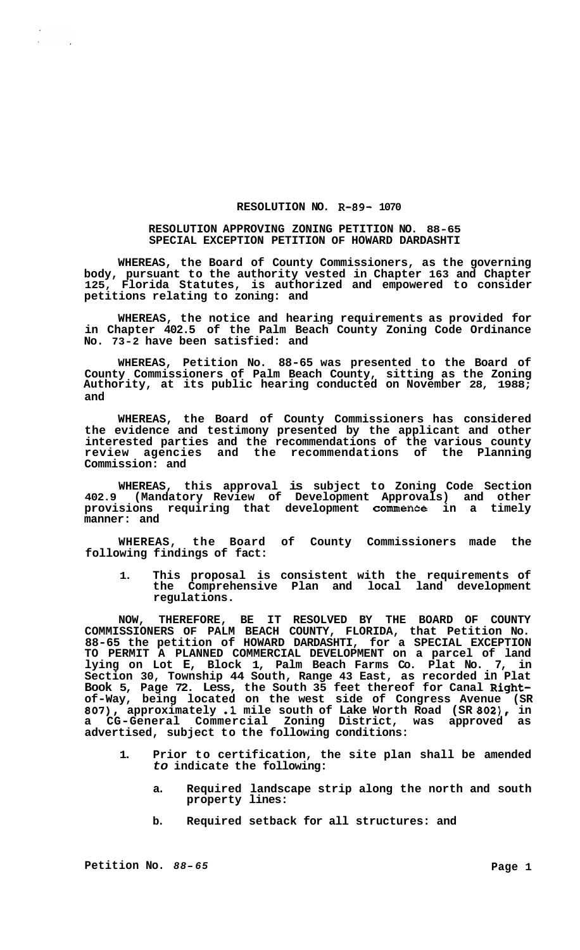## **RESOLUTION NO. R-89- 1070**

## **RESOLUTION APPROVING ZONING PETITION NO. 88-65 SPECIAL EXCEPTION PETITION OF HOWARD DARDASHTI**

**WHEREAS, the Board of County Commissioners, as the governing body, pursuant to the authority vested in Chapter 163 and Chapter**  Florida Statutes, is authorized and empowered to consider **petitions relating to zoning: and** 

**WHEREAS, the notice and hearing requirements as provided for in Chapter 402.5 of the Palm Beach County Zoning Code Ordinance No. 73-2 have been satisfied: and** 

**WHEREAS, Petition No. 88-65 was presented to the Board of County Commissioners of Palm Beach County, sitting as the Zoning Authority, at its public hearing conducted on November 28, 1988; and** 

**WHEREAS, the Board of County Commissioners has considered the evidence and testimony presented by the applicant and other interested parties and the recommendations of the various county review agencies and the recommendations of the Planning Commission: and** 

**WHEREAS, this approval is subject to Zoning Code Section 402.9 (Mandatory Review of Development Approvals) and other provisions requiring that development commence in a timely manner: and** 

**WHEREAS, the Board of County Commissioners made the following findings of fact:** 

**1. This proposal is consistent with the requirements of the Comprehensive Plan and local land development regulations.** 

**NOW, THEREFORE, BE IT RESOLVED BY THE BOARD OF COUNTY COMMISSIONERS OF PALM BEACH COUNTY, FLORIDA, that Petition No. 88-65 the petition of HOWARD DARDASHTI, for a SPECIAL EXCEPTION TO PERMIT A PLANNED COMMERCIAL DEVELOPMENT on a parcel of land lying on Lot E, Block 1, Palm Beach Farms Co. Plat No. 7, in Section 30, Township 44 South, Range 43 East, as recorded in Plat Book 5, Page 72. Less, the South 35 feet thereof for Canal Rightof-Way, being located on the west side of Congress Avenue (SR 807), approximately .1 mile south of Lake Worth Road (SR 802), in a CG-General Commercial Zoning District, was approved as advertised, subject to the following conditions:** 

- **1. Prior to certification, the site plan shall be amended**  *to* **indicate the following:** 
	- **a. Required landscape strip along the north and south property lines:**
	- **b. Required setback for all structures: and**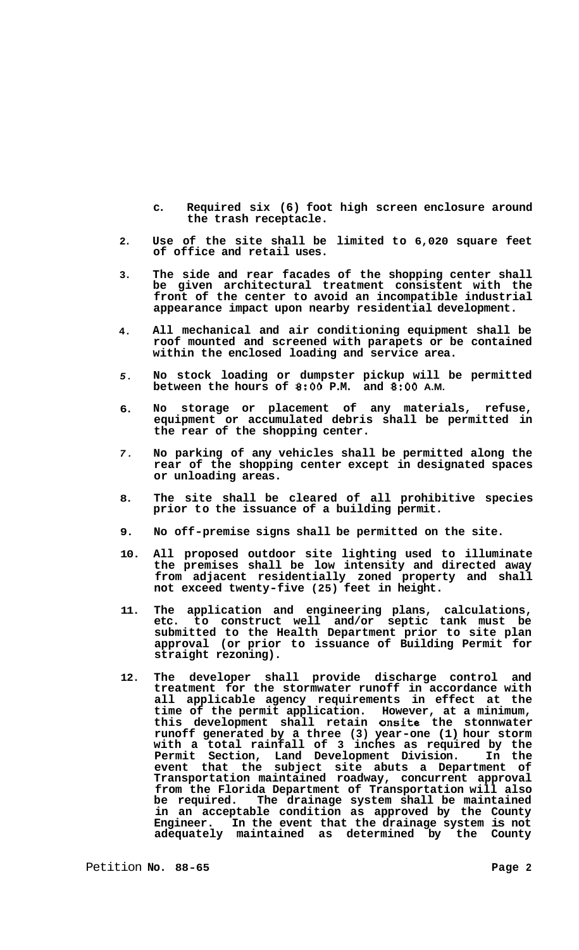- **c. Required six (6) foot high screen enclosure around the trash receptacle.**
- **2. Use of the site shall be limited to 6,020 square feet of office and retail uses.**
- **3. The side and rear facades of the shopping center shall be given architectural treatment consistent with the front of the center to avoid an incompatible industrial appearance impact upon nearby residential development.**
- **4. All mechanical and air conditioning equipment shall be roof mounted and screened with parapets or be contained within the enclosed loading and service area.**
- *5.*  **No stock loading or dumpster pickup will be permitted between the hours of 8:OO P.M. and** *8:OO* **A.M.**
- **6. No storage or placement of any materials, refuse, equipment or accumulated debris shall be permitted in the rear of the shopping center.**
- *7.*  **No parking of any vehicles shall be permitted along the rear of the shopping center except in designated spaces or unloading areas.**
- **8. The site shall be cleared of all prohibitive species prior to the issuance of a building permit.**
- **9. No off-premise signs shall be permitted on the site.**
- **10. All proposed outdoor site lighting used to illuminate the premises shall be low intensity and directed away from adjacent residentially zoned property and shall not exceed twenty-five (25) feet in height.**
- **11. The application and engineering plans, calculations, etc. to construct well and/or septic tank must be submitted to the Health Department prior to site plan approval (or prior to issuance of Building Permit for straight rezoning).**
- **12. The developer shall provide discharge control and treatment for the stormwater runoff in accordance with all applicable agency requirements in effect at the time of the permit application. However, at a minimum, this development shall retain onsite the stonnwater runoff generated by a three (3) year-one (1) hour storm with a total rainfall of 3 inches as required by the Permit Section, Land Development Division. In the event that the subject site abuts a Department of Transportation maintained roadway, concurrent approval from the Florida Department of Transportation will also**  The drainage system shall be maintained **in an acceptable condition as approved by the County Engineer. In the event that the drainage system is not adequately maintained as determined by the County**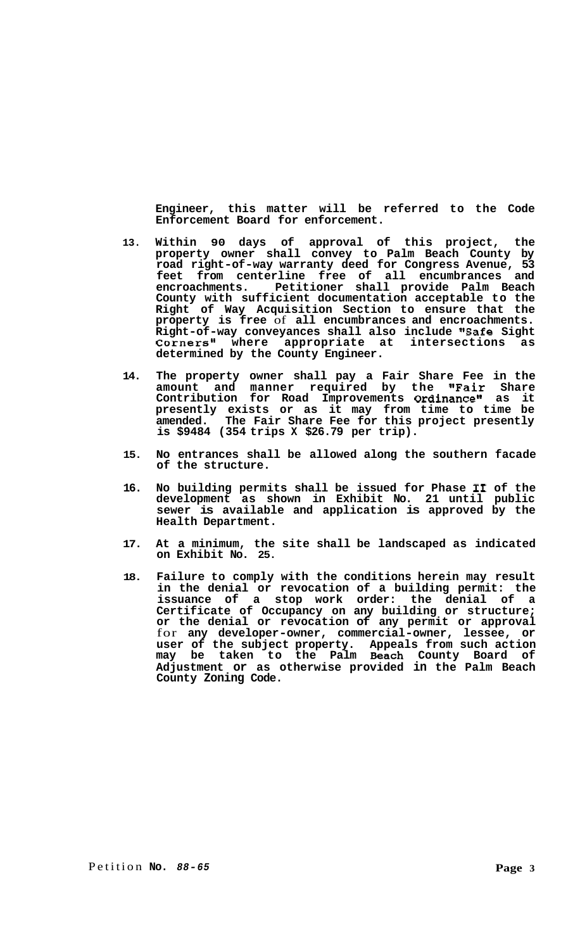**Engineer, this matter will be referred to the Code Enforcement Board for enforcement.** 

- **13. Within 90 days of approval of this project, the property owner shall convey to Palm Beach County by road right-of-way warranty deed for Congress Avenue, 53 feet from centerline free of all encumbrances and encroachments. Petitioner shall provide Palm Beach County with sufficient documentation acceptable to the Right of Way Acquisition Section to ensure that the property is free** of **all encumbrances and encroachments. Right-of-way conveyances shall also include '#Safe Sight**  Corners" where appropriate at intersections as **determined by the County Engineer.**
- **14. The property owner shall pay a Fair Share Fee in the amount and manner required by the "Fair Share Contribution for Road Improvements Ordinancell as it presently exists or as it may from time to time be amended. The Fair Share Fee for this project presently is \$9484 (354 trips X \$26.79 per trip).**
- **15. No entrances shall be allowed along the southern facade of the structure.**
- **16. No building permits shall be issued for Phase I1 of the development as shown in Exhibit No. 21 until public sewer is available and application is approved by the Health Department.**
- **17. At a minimum, the site shall be landscaped as indicated on Exhibit No. 25.**
- **18. Failure to comply with the conditions herein may result in the denial or revocation of a building permit: the issuance of a stop work order: the denial of a Certificate of Occupancy on any building or structure; or the denial or revocation of any permit or approval**  for **any developer-owner, commercial-owner, lessee, or user of the subject property. Appeals from such action may be taken to the Palm Beach County Board of Adjustment or as otherwise provided in the Palm Beach County Zoning Code.**